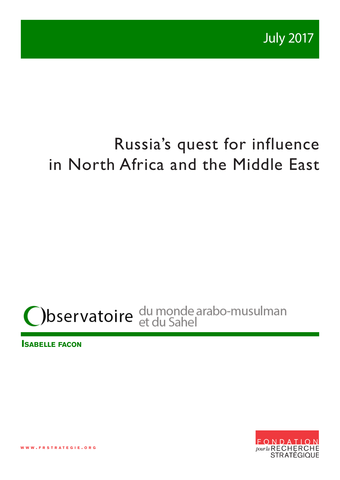# Russia's quest for influence in North Africa and the Middle East

# bservatoire du monde arabo-musulman

**Isabelle facon**



**w w w . f r s t r a t e g i e . o r g**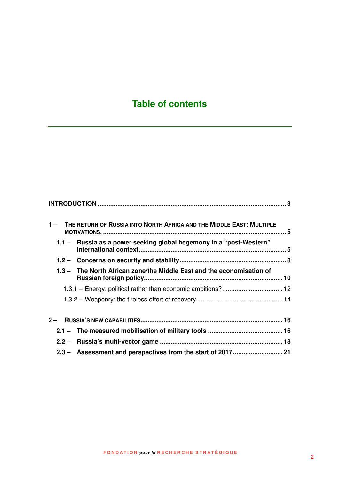# **Table of contents**

|  | 1 - THE RETURN OF RUSSIA INTO NORTH AFRICA AND THE MIDDLE EAST: MULTIPLE |  |
|--|--------------------------------------------------------------------------|--|
|  | 1.1 - Russia as a power seeking global hegemony in a "post-Western"      |  |
|  |                                                                          |  |
|  | 1.3 - The North African zone/the Middle East and the economisation of    |  |
|  | 1.3.1 - Energy: political rather than economic ambitions? 12             |  |
|  |                                                                          |  |
|  |                                                                          |  |
|  |                                                                          |  |
|  |                                                                          |  |
|  |                                                                          |  |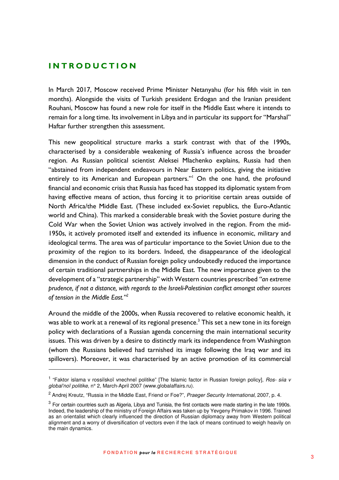## **I N T R O D U C T I O N**

l

In March 2017, Moscow received Prime Minister Netanyahu (for his fifth visit in ten months). Alongside the visits of Turkish president Erdogan and the Iranian president Rouhani, Moscow has found a new role for itself in the Middle East where it intends to remain for a long time. Its involvement in Libya and in particular its support for "Marshal" Haftar further strengthen this assessment.

This new geopolitical structure marks a stark contrast with that of the 1990s, characterised by a considerable weakening of Russia's influence across the broader region. As Russian political scientist Aleksei Mlachenko explains, Russia had then "abstained from independent endeavours in Near Eastern politics, giving the initiative entirely to its American and European partners."<sup>I</sup> On the one hand, the profound financial and economic crisis that Russia has faced has stopped its diplomatic system from having effective means of action, thus forcing it to prioritise certain areas outside of North Africa/the Middle East. (These included ex-Soviet republics, the Euro-Atlantic world and China). This marked a considerable break with the Soviet posture during the Cold War when the Soviet Union was actively involved in the region. From the mid-1950s, it actively promoted itself and extended its influence in economic, military and ideological terms. The area was of particular importance to the Soviet Union due to the proximity of the region to its borders. Indeed, the disappearance of the ideological dimension in the conduct of Russian foreign policy undoubtedly reduced the importance of certain traditional partnerships in the Middle East. The new importance given to the development of a "strategic partnership" with Western countries prescribed *"an extreme prudence, if not a distance, with regards to the Israeli-Palestinian conflict amongst other sources of tension in the Middle East."<sup>2</sup>*

Around the middle of the 2000s, when Russia recovered to relative economic health, it was able to work at a renewal of its regional presence. $^3$  This set a new tone in its foreign policy with declarations of a Russian agenda concerning the main international security issues. This was driven by a desire to distinctly mark its independence from Washington (whom the Russians believed had tarnished its image following the Iraq war and its spillovers). Moreover, it was characterised by an active promotion of its commercial

<sup>&</sup>lt;sup>1</sup> "Faktor islama v rossiïskoï vnechneï politike" [The Islamic factor in Russian foreign policy], Ros- siia v global'noï politike, n° 2, March-April 2007 (www.globalaffairs.ru).

<sup>&</sup>lt;sup>2</sup> Andrej Kreutz, "Russia in the Middle East, Friend or Foe?", Praeger Security International, 2007, p. 4.

 $3$  For certain countries such as Algeria, Libya and Tunisia, the first contacts were made starting in the late 1990s. Indeed, the leadership of the ministry of Foreign Affairs was taken up by Yevgeny Primakov in 1996. Trained as an orientalist which clearly influenced the direction of Russian diplomacy away from Western political alignment and a worry of diversification of vectors even if the lack of means continued to weigh heavily on the main dynamics.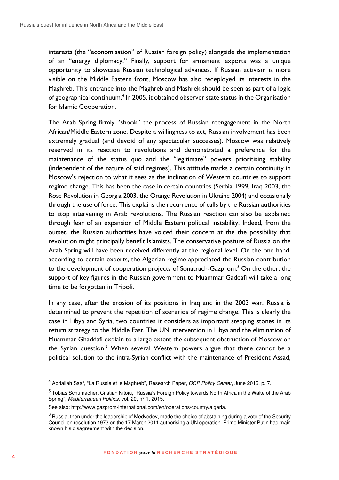interests (the "economisation" of Russian foreign policy) alongside the implementation of an "energy diplomacy." Finally, support for armament exports was a unique opportunity to showcase Russian technological advances. If Russian activism is more visible on the Middle Eastern front, Moscow has also redeployed its interests in the Maghreb. This entrance into the Maghreb and Mashrek should be seen as part of a logic of geographical continuum.<sup>4</sup> In 2005, it obtained observer state status in the Organisation for Islamic Cooperation.

The Arab Spring firmly "shook" the process of Russian reengagement in the North African/Middle Eastern zone. Despite a willingness to act, Russian involvement has been extremely gradual (and devoid of any spectacular successes). Moscow was relatively reserved in its reaction to revolutions and demonstrated a preference for the maintenance of the status quo and the "legitimate" powers prioritising stability (independent of the nature of said regimes). This attitude marks a certain continuity in Moscow's rejection to what it sees as the inclination of Western countries to support regime change. This has been the case in certain countries (Serbia 1999, Iraq 2003, the Rose Revolution in Georgia 2003, the Orange Revolution in Ukraine 2004) and occasionally through the use of force. This explains the recurrence of calls by the Russian authorities to stop intervening in Arab revolutions. The Russian reaction can also be explained through fear of an expansion of Middle Eastern political instability. Indeed, from the outset, the Russian authorities have voiced their concern at the the possibility that revolution might principally benefit Islamists. The conservative posture of Russia on the Arab Spring will have been received differently at the regional level. On the one hand, according to certain experts, the Algerian regime appreciated the Russian contribution to the development of cooperation projects of Sonatrach-Gazprom.<sup>5</sup> On the other, the support of key figures in the Russian government to Muammar Gaddafi will take a long time to be forgotten in Tripoli.

In any case, after the erosion of its positions in Iraq and in the 2003 war, Russia is determined to prevent the repetition of scenarios of regime change. This is clearly the case in Libya and Syria, two countries it considers as important stepping stones in its return strategy to the Middle East. The UN intervention in Libya and the elimination of Muammar Ghaddafi explain to a large extent the subsequent obstruction of Moscow on the Syrian question.<sup>6</sup> When several Western powers argue that there cannot be a political solution to the intra-Syrian conflict with the maintenance of President Assad,

<sup>&</sup>lt;sup>4</sup> Abdallah Saaf, "La Russie et le Maghreb", Research Paper, OCP Policy Center, June 2016, p. 7.

<sup>&</sup>lt;sup>5</sup> Tobias Schumacher, Cristian Nitoiu, "Russia's Foreign Policy towards North Africa in the Wake of the Arab Spring", Mediterranean Politics, vol. 20, nº 1, 2015.

See also: http://www.gazprom-international.com/en/operations/country/algeria.

 $^6$  Russia, then under the leadership of Medvedev, made the choice of abstaining during a vote of the Security Council on resolution 1973 on the 17 March 2011 authorising a UN operation. Prime Minister Putin had main known his disagreement with the decision.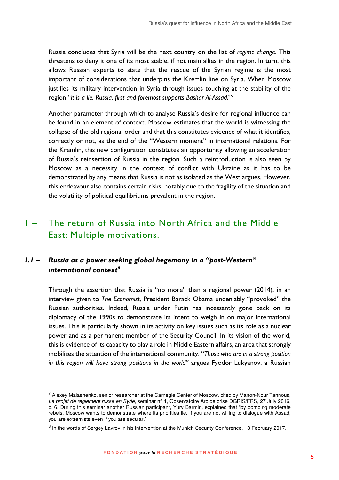Russia concludes that Syria will be the next country on the list of *regime change*. This threatens to deny it one of its most stable, if not main allies in the region. In turn, this allows Russian experts to state that the rescue of the Syrian regime is the most important of considerations that underpins the Kremlin line on Syria. When Moscow justifies its military intervention in Syria through issues touching at the stability of the region "*it is a lie. Russia, first and foremost supports Bashar Al-Assad!"<sup>7</sup>*

Another parameter through which to analyse Russia's desire for regional influence can be found in an element of context. Moscow estimates that the world is witnessing the collapse of the old regional order and that this constitutes evidence of what it identifies, correctly or not, as the end of the "Western moment" in international relations. For the Kremlin, this new configuration constitutes an opportunity allowing an acceleration of Russia's reinsertion of Russia in the region. Such a reintroduction is also seen by Moscow as a necessity in the context of conflict with Ukraine as it has to be demonstrated by any means that Russia is not as isolated as the West argues. However, this endeavour also contains certain risks, notably due to the fragility of the situation and the volatility of political equilibriums prevalent in the region.

# 1 – The return of Russia into North Africa and the Middle East: Multiple motivations.

# *1.1 – Russia as a power seeking global hegemony in a "post-Western" international context<sup>8</sup>*

 $\overline{a}$ 

Through the assertion that Russia is "no more" than a regional power (2014), in an interview given to *The Economist*, President Barack Obama undeniably "provoked" the Russian authorities. Indeed, Russia under Putin has incessantly gone back on its diplomacy of the 1990s to demonstrate its intent to weigh in on major international issues. This is particularly shown in its activity on key issues such as its role as a nuclear power and as a permanent member of the Security Council. In its vision of the world, this is evidence of its capacity to play a role in Middle Eastern affairs, an area that strongly mobilises the attention of the international community. "*Those who are in a strong position in this region will have strong positions in the world"* argues Fyodor Lukyanov, a Russian

<sup>&</sup>lt;sup>7</sup> Alexey Malashenko, senior researcher at the Carnegie Center of Moscow, cited by Manon-Nour Tannous, Le projet de règlement russe en Syrie, seminar n° 4, Observatoire Arc de crise DGRIS/FRS, 27 July 2016, p. 6. During this seminar another Russian participant, Yury Barmin, explained that "by bombing moderate rebels, Moscow wants to demonstrate where its priorities lie. If you are not willing to dialogue with Assad, you are extremists even if you are secular."

<sup>&</sup>lt;sup>8</sup> In the words of Sergey Lavrov in his intervention at the Munich Security Conference, 18 February 2017.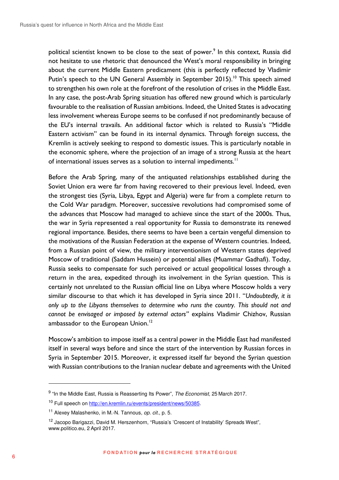political scientist known to be close to the seat of power.<sup>9</sup> In this context, Russia did not hesitate to use rhetoric that denounced the West's moral responsibility in bringing about the current Middle Eastern predicament (this is perfectly reflected by Vladimir Putin's speech to the UN General Assembly in September 2015).<sup>10</sup> This speech aimed to strengthen his own role at the forefront of the resolution of crises in the Middle East. In any case, the post-Arab Spring situation has offered new ground which is particularly favourable to the realisation of Russian ambitions. Indeed, the United States is advocating less involvement whereas Europe seems to be confused if not predominantly because of the EU's internal travails. An additional factor which is related to Russia's "Middle Eastern activism" can be found in its internal dynamics. Through foreign success, the Kremlin is actively seeking to respond to domestic issues. This is particularly notable in the economic sphere, where the projection of an image of a strong Russia at the heart of international issues serves as a solution to internal impediments.<sup>11</sup>

Before the Arab Spring, many of the antiquated relationships established during the Soviet Union era were far from having recovered to their previous level. Indeed, even the strongest ties (Syria, Libya, Egypt and Algeria) were far from a complete return to the Cold War paradigm. Moreover, successive revolutions had compromised some of the advances that Moscow had managed to achieve since the start of the 2000s. Thus, the war in Syria represented a real opportunity for Russia to demonstrate its renewed regional importance. Besides, there seems to have been a certain vengeful dimension to the motivations of the Russian Federation at the expense of Western countries. Indeed, from a Russian point of view, the military interventionism of Western states deprived Moscow of traditional (Saddam Hussein) or potential allies (Muammar Gadhafi). Today, Russia seeks to compensate for such perceived or actual geopolitical losses through a return in the area, expedited through its involvement in the Syrian question. This is certainly not unrelated to the Russian official line on Libya where Moscow holds a very similar discourse to that which it has developed in Syria since 2011. "*Undoubtedly, it is only up to the Libyans themselves to determine who runs the country. This should not and cannot be envisaged or imposed by external actors"* explains Vladimir Chizhov, Russian ambassador to the European Union.<sup>12</sup>

Moscow's ambition to impose itself as a central power in the Middle East had manifested itself in several ways before and since the start of the intervention by Russian forces in Syria in September 2015. Moreover, it expressed itself far beyond the Syrian question with Russian contributions to the Iranian nuclear debate and agreements with the United

<sup>&</sup>lt;sup>9</sup> "In the Middle East, Russia is Reasserting Its Power", The Economist, 25 March 2017.

<sup>&</sup>lt;sup>10</sup> Full speech on http://en.kremlin.ru/events/president/news/50385.

<sup>&</sup>lt;sup>11</sup> Alexey Malashenko, in M.-N. Tannous, op. cit., p. 5.

<sup>&</sup>lt;sup>12</sup> Jacopo Barigazzi, David M. Herszenhorn, "Russia's 'Crescent of Instability' Spreads West", www.politico.eu, 2 April 2017.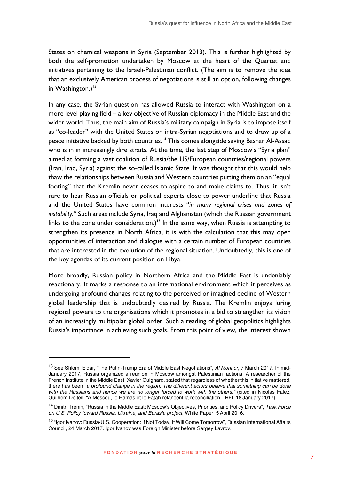States on chemical weapons in Syria (September 2013). This is further highlighted by both the self-promotion undertaken by Moscow at the heart of the Quartet and initiatives pertaining to the Israeli-Palestinian conflict. (The aim is to remove the idea that an exclusively American process of negotiations is still an option, following changes in Washington.) $13$ 

In any case, the Syrian question has allowed Russia to interact with Washington on a more level playing field – a key objective of Russian diplomacy in the Middle East and the wider world. Thus, the main aim of Russia's military campaign in Syria is to impose itself as "co-leader" with the United States on intra-Syrian negotiations and to draw up of a peace initiative backed by both countries.<sup>14</sup> This comes alongside saving Bashar Al-Assad who is in in increasingly dire straits. At the time, the last step of Moscow's "Syria plan" aimed at forming a vast coalition of Russia/the US/European countries/regional powers (Iran, Iraq, Syria) against the so-called Islamic State. It was thought that this would help thaw the relationships between Russia and Western countries putting them on an "equal footing" that the Kremlin never ceases to aspire to and make claims to. Thus, it isn't rare to hear Russian officials or political experts close to power underline that Russia and the United States have common interests "*in many regional crises and zones of instability."* Such areas include Syria, Iraq and Afghanistan (which the Russian government links to the zone under consideration.)<sup>15</sup> In the same way, when Russia is attempting to strengthen its presence in North Africa, it is with the calculation that this may open opportunities of interaction and dialogue with a certain number of European countries that are interested in the evolution of the regional situation. Undoubtedly, this is one of the key agendas of its current position on Libya.

More broadly, Russian policy in Northern Africa and the Middle East is undeniably reactionary. It marks a response to an international environment which it perceives as undergoing profound changes relating to the perceived or imagined decline of Western global leadership that is undoubtedly desired by Russia. The Kremlin enjoys luring regional powers to the organisations which it promotes in a bid to strengthen its vision of an increasingly multipolar global order. Such a reading of global geopolitics highlights Russia's importance in achieving such goals. From this point of view, the interest shown

<sup>&</sup>lt;sup>13</sup> See Shlomi Eldar, "The Putin-Trump Era of Middle East Negotiations", Al Monitor, 7 March 2017. In mid-January 2017, Russia organized a reunion in Moscow amongst Palestinian factions. A researcher of the French Institute in the Middle East, Xavier Guignard, stated that regardless of whether this initiative mattered, there has been "a profound change in the region. The different actors believe that something can be done with the Russians and hence we are no longer forced to work with the others." (cited in Nicolas Falez, Guilhem Delteil, "A Moscou, le Hamas et le Fatah relancent la reconciliation," RFI, 18 January 2017).

<sup>&</sup>lt;sup>14</sup> Dmitri Trenin, "Russia in the Middle East: Moscow's Objectives, Priorities, and Policy Drivers", Task Force on U.S. Policy toward Russia, Ukraine, and Eurasia project, White Paper, 5 April 2016.

<sup>&</sup>lt;sup>15</sup> "Igor Ivanov: Russia-U.S. Cooperation: If Not Today, It Will Come Tomorrow", Russian International Affairs Council, 24 March 2017. Igor Ivanov was Foreign Minister before Sergey Lavrov.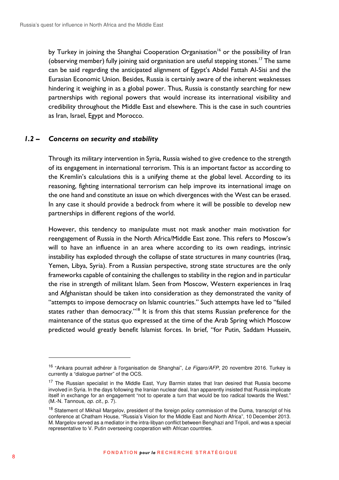by Turkey in joining the Shanghai Cooperation Organisation<sup>16</sup> or the possibility of Iran (observing member) fully joining said organisation are useful stepping stones.<sup>17</sup> The same can be said regarding the anticipated alignment of Egypt's Abdel Fattah Al-Sisi and the Eurasian Economic Union. Besides, Russia is certainly aware of the inherent weaknesses hindering it weighing in as a global power. Thus, Russia is constantly searching for new partnerships with regional powers that would increase its international visibility and credibility throughout the Middle East and elsewhere. This is the case in such countries as Iran, Israel, Egypt and Morocco.

### *1.2 – Concerns on security and stability*

Through its military intervention in Syria, Russia wished to give credence to the strength of its engagement in international terrorism. This is an important factor as according to the Kremlin's calculations this is a unifying theme at the global level. According to its reasoning, fighting international terrorism can help improve its international image on the one hand and constitute an issue on which divergences with the West can be erased. In any case it should provide a bedrock from where it will be possible to develop new partnerships in different regions of the world.

However, this tendency to manipulate must not mask another main motivation for reengagement of Russia in the North Africa/Middle East zone. This refers to Moscow's will to have an influence in an area where according to its own readings, intrinsic instability has exploded through the collapse of state structures in many countries (Iraq, Yemen, Libya, Syria). From a Russian perspective, strong state structures are the only frameworks capable of containing the challenges to stability in the region and in particular the rise in strength of militant Islam. Seen from Moscow, Western experiences in Iraq and Afghanistan should be taken into consideration as they demonstrated the vanity of "attempts to impose democracy on Islamic countries." Such attempts have led to "failed states rather than democracy."<sup>18</sup> It is from this that stems Russian preference for the maintenance of the status quo expressed at the time of the Arab Spring which Moscow predicted would greatly benefit Islamist forces. In brief, "for Putin, Saddam Hussein,

<sup>&</sup>lt;sup>16</sup> "Ankara pourrait adhérer à l'organisation de Shanghai", Le Figaro/AFP, 20 novembre 2016. Turkey is currently a "dialogue partner" of the OCS.

<sup>&</sup>lt;sup>17</sup> The Russian specialist in the Middle East, Yury Barmin states that Iran desired that Russia become involved in Syria. In the days following the Iranian nuclear deal, Iran apparently insisted that Russia implicate itself in exchange for an engagement "not to operate a turn that would be too radical towards the West." (M.-N. Tannous, op. cit., p. 7).

<sup>&</sup>lt;sup>18</sup> Statement of Mikhail Margelov, president of the foreign policy commission of the Duma, transcript of his conference at Chatham House, "Russia's Vision for the Middle East and North Africa", 10 December 2013. M. Margelov served as a mediator in the intra-libyan conflict between Benghazi and Tripoli, and was a special representative to V. Putin overseeing cooperation with African countries.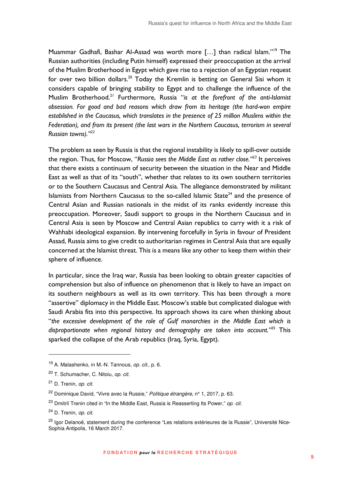Muammar Gadhafi, Bashar Al-Assad was worth more [...] than radical Islam."<sup>19</sup> The Russian authorities (including Putin himself) expressed their preoccupation at the arrival of the Muslim Brotherhood in Egypt which gave rise to a rejection of an Egyptian request for over two billion dollars.<sup>20</sup> Today the Kremlin is betting on General Sisi whom it considers capable of bringing stability to Egypt and to challenge the influence of the Muslim Brotherhood.<sup>21</sup> Furthermore, Russia "*is at the forefront of the anti-Islamist obsession. For good and bad reasons which draw from its heritage (the hard-won empire established in the Caucasus, which translates in the presence of 25 million Muslims within the Federation), and from its present (the last wars in the Northern Caucasus, terrorism in several Russian towns)."<sup>22</sup>*

The problem as seen by Russia is that the regional instability is likely to spill-over outside the region. Thus, for Moscow, "*Russia sees the Middle East as rather close."<sup>23</sup>* It perceives that there exists a continuum of security between the situation in the Near and Middle East as well as that of its "south", whether that relates to its own southern territories or to the Southern Caucasus and Central Asia. The allegiance demonstrated by militant Islamists from Northern Caucasus to the so-called Islamic State<sup>24</sup> and the presence of Central Asian and Russian nationals in the midst of its ranks evidently increase this preoccupation. Moreover, Saudi support to groups in the Northern Caucasus and in Central Asia is seen by Moscow and Central Asian republics to carry with it a risk of Wahhabi ideological expansion. By intervening forcefully in Syria in favour of President Assad, Russia aims to give credit to authoritarian regimes in Central Asia that are equally concerned at the Islamist threat. This is a means like any other to keep them within their sphere of influence.

In particular, since the Iraq war, Russia has been looking to obtain greater capacities of comprehension but also of influence on phenomenon that is likely to have an impact on its southern neighbours as well as its own territory. This has been through a more "assertive" diplomacy in the Middle East. Moscow's stable but complicated dialogue with Saudi Arabia fits into this perspective. Its approach shows its care when thinking about "*the excessive development of the role of Gulf monarchies in the Middle East which is disproportionate when regional history and demography are taken into account."*<sup>25</sup> This sparked the collapse of the Arab republics (Iraq, Syria, Egypt).

<sup>&</sup>lt;sup>19</sup> A. Malashenko, in M.-N. Tannous, op. cit., p. 6.

<sup>20</sup> T. Schumacher, C. Nitoiu, op. cit.

<sup>21</sup> D. Trenin, op. cit.

<sup>&</sup>lt;sup>22</sup> Dominique David, "Vivre avec la Russie," Politique étrangère, n° 1, 2017, p. 63.

 $23$  Dmitriï Trenin cited in "In the Middle East, Russia is Reasserting Its Power," *op. cit.* 

<sup>24</sup> D. Trenin, op. cit.

<sup>&</sup>lt;sup>25</sup> Igor Delanoë, statement during the conference "Les relations extérieures de la Russie", Université Nice-Sophia Antipolis, 16 March 2017.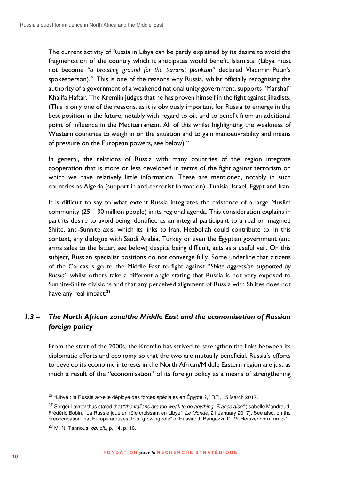The current activity of Russia in Libya can be partly explained by its desire to avoid the fragmentation of the country which it anticipates would benefit Islamists. (Libya must not become *"a breeding ground for the terrorist plankton"* declared Vladimir Putin's spokesperson).<sup>26</sup> This is one of the reasons why Russia, whilst officially recognising the authority of a government of a weakened national unity government, supports "Marshal" Khalifa Haftar. The Kremlin judges that he has proven himself in the fight against jihadists. (This is only one of the reasons, as it is obviously important for Russia to emerge in the best position in the future, notably with regard to oil, and to benefit from an additional point of influence in the Mediterranean. All of this whilst highlighting the weakness of Western countries to weigh in on the situation and to gain manoeuvrability and means of pressure on the European powers, see below). $27$ 

In general, the relations of Russia with many countries of the region integrate cooperation that is more or less developed in terms of the fight against terrorism on which we have relatively little information. These are mentioned, notably in such countries as Algeria (support in anti-terrorist formation), Tunisia, Israel, Egypt and Iran.

It is difficult to say to what extent Russia integrates the existence of a large Muslim community (25 – 30 million people) in its regional agenda. This consideration explains in part its desire to avoid being identified as an integral participant to a real or imagined Shiite, anti-Sunnite axis, which its links to Iran, Hezbollah could contribute to. In this context, any dialogue with Saudi Arabia, Turkey or even the Egyptian government (and arms sales to the latter, see below) despite being difficult, acts as a useful veil. On this subject, Russian specialist positions do not converge fully. Some underline that citizens of the Caucasus go to the Middle East to fight against "*Shiite aggression supported by Russia*" whilst others take a different angle stating that Russia is not very exposed to Sunnite-Shiite divisions and that any perceived alignment of Russia with Shiites does not have any real impact.<sup>28</sup>

# *1.3 – The North African zone/the Middle East and the economisation of Russian foreign policy*

From the start of the 2000s, the Kremlin has strived to strengthen the links between its diplomatic efforts and economy so that the two are mutually beneficial. Russia's efforts to develop its economic interests in the North African/Middle Eastern region are just as much a result of the "economisation" of its foreign policy as a means of strengthening

<sup>&</sup>lt;sup>26</sup> "Libye : la Russie a-t-elle déployé des forces spéciales en Égypte ?," RFI, 15 March 2017.

<sup>&</sup>lt;sup>27</sup> Sergeï Lavrov thus stated that "the Italians are too weak to do anything, France also" (Isabelle Mandraud, Frédéric Bobin, "La Russie joue un rôle croissant en Libye", Le Monde, 21 January 2017). See also, on the preoccupation that Europe arouses, this "growing role" of Russia: J. Barigazzi, D. M. Herszenhorn, op. cit.

<sup>28</sup> M.-N. Tannous, op. cit., p. 14, p. 16.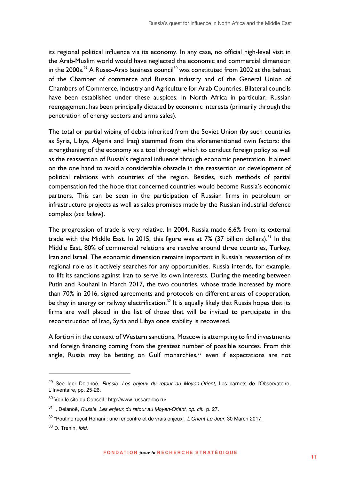its regional political influence via its economy. In any case, no official high-level visit in the Arab-Muslim world would have neglected the economic and commercial dimension in the 2000s.<sup>29</sup> A Russo-Arab business council<sup>30</sup> was constituted from 2002 at the behest of the Chamber of commerce and Russian industry and of the General Union of Chambers of Commerce, Industry and Agriculture for Arab Countries. Bilateral councils have been established under these auspices. In North Africa in particular, Russian reengagement has been principally dictated by economic interests (primarily through the penetration of energy sectors and arms sales).

The total or partial wiping of debts inherited from the Soviet Union (by such countries as Syria, Libya, Algeria and Iraq) stemmed from the aforementioned twin factors: the strengthening of the economy as a tool through which to conduct foreign policy as well as the reassertion of Russia's regional influence through economic penetration. It aimed on the one hand to avoid a considerable obstacle in the reassertion or development of political relations with countries of the region. Besides, such methods of partial compensation fed the hope that concerned countries would become Russia's economic partners. This can be seen in the participation of Russian firms in petroleum or infrastructure projects as well as sales promises made by the Russian industrial defence complex (*see below*).

The progression of trade is very relative. In 2004, Russia made 6.6% from its external trade with the Middle East. In 2015, this figure was at  $7\%$  (37 billion dollars).<sup>31</sup> In the Middle East, 80% of commercial relations are revolve around three countries, Turkey, Iran and Israel. The economic dimension remains important in Russia's reassertion of its regional role as it actively searches for any opportunities. Russia intends, for example, to lift its sanctions against Iran to serve its own interests. During the meeting between Putin and Rouhani in March 2017, the two countries, whose trade increased by more than 70% in 2016, signed agreements and protocols on different areas of cooperation, be they in energy or railway electrification.<sup>32</sup> It is equally likely that Russia hopes that its firms are well placed in the list of those that will be invited to participate in the reconstruction of Iraq, Syria and Libya once stability is recovered.

A fortiori in the context of Western sanctions, Moscow is attempting to find investments and foreign financing coming from the greatest number of possible sources. From this angle, Russia may be betting on Gulf monarchies, $33$  even if expectations are not

<sup>&</sup>lt;sup>29</sup> See Igor Delanoë, Russie. Les enjeux du retour au Moyen-Orient, Les carnets de l'Observatoire, L'Inventaire, pp. 25-26.

<sup>30</sup> Voir le site du Conseil : http://www.russarabbc.ru/

<sup>31</sup> I. Delanoë, Russie. Les enjeux du retour au Moyen-Orient, op. cit., p. 27.

<sup>32</sup> "Poutine reçoit Rohani : une rencontre et de vrais enjeux", L'Orient-Le-Jour, 30 March 2017.

<sup>33</sup> D. Trenin, Ibid.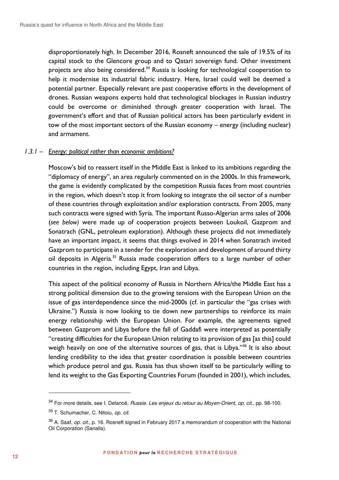disproportionately high. In December 2016, Rosneft announced the sale of 19.5% of its capital stock to the Glencore group and to Qatari sovereign fund. Other investment projects are also being considered.<sup>34</sup> Russia is looking for technological cooperation to help it modernise its industrial fabric industry. Here, Israel could well be deemed a potential partner. Especially relevant are past cooperative efforts in the development of drones. Russian weapons experts hold that technological blockages in Russian industry could be overcome or diminished through greater cooperation with Israel. The government's effort and that of Russian political actors has been particularly evident in tow of the most important sectors of the Russian economy – energy (including nuclear) and armament.

### *1.3.1 – Energy: political rather than economic ambitions?*

Moscow's bid to reassert itself in the Middle East is linked to its ambitions regarding the "diplomacy of energy", an area regularly commented on in the 2000s. In this framework, the game is evidently complicated by the competition Russia faces from most countries in the region, which doesn't stop it from looking to integrate the oil sector of a number of these countries through exploitation and/or exploration contracts. From 2005, many such contracts were signed with Syria. The important Russo-Algerian arms sales of 2006 (*see below)* were made up of cooperation projects between Loukoil, Gazprom and Sonatrach (GNL, petroleum exploration). Although these projects did not immediately have an important impact, it seems that things evolved in 2014 when Sonatrach invited Gazprom to participate in a tender for the exploration and development of around thirty oil deposits in Algeria.<sup>35</sup> Russia made cooperation offers to a large number of other countries in the region, including Egypt, Iran and Libya.

This aspect of the political economy of Russia in Northern Africa/the Middle East has a strong political dimension due to the growing tensions with the European Union on the issue of gas interdependence since the mid-2000s (cf. in particular the "gas crises with Ukraine.") Russia is now looking to tie down new partnerships to reinforce its main energy relationship with the European Union. For example, the agreements signed between Gazprom and Libya before the fall of Gaddafi were interpreted as potentially "creating difficulties for the European Union relating to its provision of gas [as this] could weigh heavily on one of the alternative sources of gas, that is Libya."<sup>36</sup> It is also about lending credibility to the idea that greater coordination is possible between countries which produce petrol and gas. Russia has thus shown itself to be particularly willing to lend its weight to the Gas Exporting Countries Forum (founded in 2001), which includes,

<sup>&</sup>lt;sup>34</sup> For more details, see I. Delanoë, *Russie. Les enieux du retour au Moven-Orient, op. cit.*, pp. 98-100.

<sup>35</sup> T. Schumacher, C. Nitoiu, op. cit.

 $36$  A. Saaf, *op. cit.*, p. 16. Rosneft signed in February 2017 a memorandum of cooperation with the National Oil Corporation (Sanalla).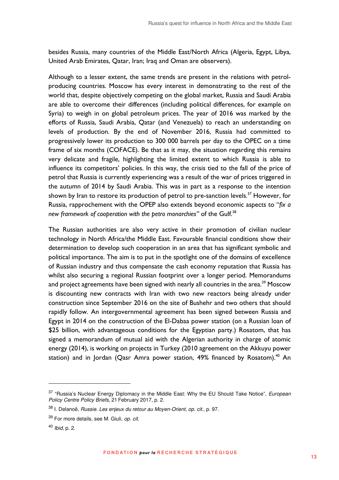besides Russia, many countries of the Middle East/North Africa (Algeria, Egypt, Libya, United Arab Emirates, Qatar, Iran; Iraq and Oman are observers).

Although to a lesser extent, the same trends are present in the relations with petrolproducing countries. Moscow has every interest in demonstrating to the rest of the world that, despite objectively competing on the global market, Russia and Saudi Arabia are able to overcome their differences (including political differences, for example on Syria) to weigh in on global petroleum prices. The year of 2016 was marked by the efforts of Russia, Saudi Arabia, Qatar (and Venezuela) to reach an understanding on levels of production. By the end of November 2016, Russia had committed to progressively lower its production to 300 000 barrels per day to the OPEC on a time frame of six months (COFACE). Be that as it may, the situation regarding this remains very delicate and fragile, highlighting the limited extent to which Russia is able to influence its competitors' policies. In this way, the crisis tied to the fall of the price of petrol that Russia is currently experiencing was a result of the war of prices triggered in the autumn of 2014 by Saudi Arabia. This was in part as a response to the intention shown by Iran to restore its production of petrol to pre-sanction levels.<sup>37</sup> However, for Russia, rapprochement with the OPEP also extends beyond economic aspects to "*fix a*  new framework of cooperation with the petro monarchies" of the Gulf.<sup>38</sup>

The Russian authorities are also very active in their promotion of civilian nuclear technology in North Africa/the Middle East. Favourable financial conditions show their determination to develop such cooperation in an area that has significant symbolic and political importance. The aim is to put in the spotlight one of the domains of excellence of Russian industry and thus compensate the cash economy reputation that Russia has whilst also securing a regional Russian footprint over a longer period. Memorandums and project agreements have been signed with nearly all countries in the area.<sup>39</sup> Moscow is discounting new contracts with Iran with two new reactors being already under construction since September 2016 on the site of Bushehr and two others that should rapidly follow. An intergovernmental agreement has been signed between Russia and Egypt in 2014 on the construction of the El-Dabaa power station (on a Russian loan of \$25 billion, with advantageous conditions for the Egyptian party.) Rosatom, that has signed a memorandum of mutual aid with the Algerian authority in charge of atomic energy (2014), is working on projects in Turkey (2010 agreement on the Akkuyu power station) and in Jordan (Qasr Amra power station, 49% financed by Rosatom).<sup>40</sup> An

<sup>&</sup>lt;sup>37</sup> "Russia's Nuclear Energy Diplomacy in the Middle East: Why the EU Should Take Notice", European Policy Centre Policy Briefs, 21 February 2017, p. 2.

<sup>38</sup> I. Delanoë, Russie. Les enjeux du retour au Moyen-Orient, op. cit., p. 97.

<sup>&</sup>lt;sup>39</sup> For more details, see M. Giuli, op. cit.

 $40$  *lbid.* p. 2.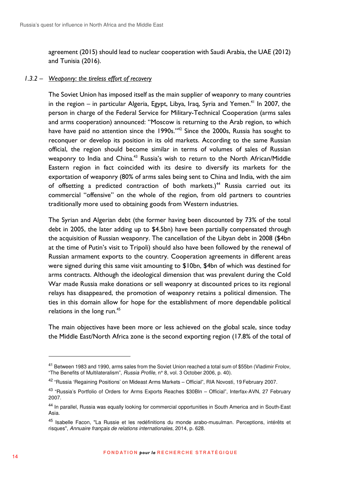agreement (2015) should lead to nuclear cooperation with Saudi Arabia, the UAE (2012) and Tunisia (2016).

#### *1.3.2 – Weaponry: the tireless effort of recovery*

The Soviet Union has imposed itself as the main supplier of weaponry to many countries in the region – in particular Algeria, Egypt, Libya, Iraq, Syria and Yemen.<sup>41</sup> In 2007, the person in charge of the Federal Service for Military-Technical Cooperation (arms sales and arms cooperation) announced: "Moscow is returning to the Arab region, to which have have paid no attention since the 1990s." $42$  Since the 2000s, Russia has sought to reconquer or develop its position in its old markets. According to the same Russian official, the region should become similar in terms of volumes of sales of Russian weaponry to India and China.<sup>43</sup> Russia's wish to return to the North African/Middle Eastern region in fact coincided with its desire to diversify its markets for the exportation of weaponry (80% of arms sales being sent to China and India, with the aim of offsetting a predicted contraction of both markets.)<sup>44</sup> Russia carried out its commercial "offensive" on the whole of the region, from old partners to countries traditionally more used to obtaining goods from Western industries.

The Syrian and Algerian debt (the former having been discounted by 73% of the total debt in 2005, the later adding up to \$4.5bn) have been partially compensated through the acquisition of Russian weaponry. The cancellation of the Libyan debt in 2008 (\$4bn at the time of Putin's visit to Tripoli) should also have been followed by the renewal of Russian armament exports to the country. Cooperation agreements in different areas were signed during this same visit amounting to \$10bn, \$4bn of which was destined for arms contracts. Although the ideological dimension that was prevalent during the Cold War made Russia make donations or sell weaponry at discounted prices to its regional relays has disappeared, the promotion of weaponry retains a political dimension. The ties in this domain allow for hope for the establishment of more dependable political relations in the long run.<sup>45</sup>

The main objectives have been more or less achieved on the global scale, since today the Middle East/North Africa zone is the second exporting region (17.8% of the total of

<sup>&</sup>lt;sup>41</sup> Between 1983 and 1990, arms sales from the Soviet Union reached a total sum of \$55bn (Vladimir Frolov, "The Benefits of Multilateralism", Russia Profile, n° 8, vol. 3 October 2006, p. 40).

<sup>&</sup>lt;sup>42</sup> "Russia 'Regaining Positions' on Mideast Arms Markets – Official", RIA Novosti, 19 February 2007.

<sup>&</sup>lt;sup>43</sup> "Russia's Portfolio of Orders for Arms Exports Reaches \$30Bln – Official", Interfax-AVN, 27 February 2007.

<sup>&</sup>lt;sup>44</sup> In parallel, Russia was equally looking for commercial opportunities in South America and in South-East Asia.

<sup>&</sup>lt;sup>45</sup> Isabelle Facon, "La Russie et les redéfinitions du monde arabo-musulman. Perceptions, intérêts et risques", Annuaire français de relations internationales, 2014, p. 628.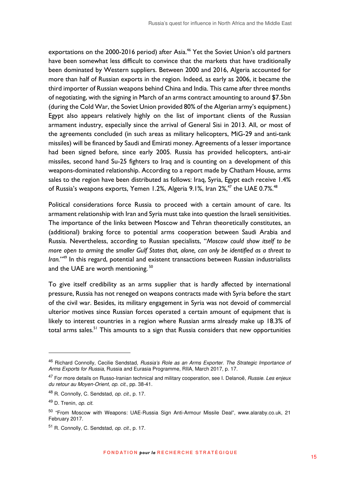exportations on the 2000-2016 period) after Asia.<sup>46</sup> Yet the Soviet Union's old partners have been somewhat less difficult to convince that the markets that have traditionally been dominated by Western suppliers. Between 2000 and 2016, Algeria accounted for more than half of Russian exports in the region. Indeed, as early as 2006, it became the third importer of Russian weapons behind China and India. This came after three months of negotiating, with the signing in March of an arms contract amounting to around \$7.5bn (during the Cold War, the Soviet Union provided 80% of the Algerian army's equipment.) Egypt also appears relatively highly on the list of important clients of the Russian armament industry, especially since the arrival of General Sisi in 2013. All, or most of the agreements concluded (in such areas as military helicopters, MiG-29 and anti-tank missiles) will be financed by Saudi and Emirati money. Agreements of a lesser importance had been signed before, since early 2005. Russia has provided helicopters, anti-air missiles, second hand Su-25 fighters to Iraq and is counting on a development of this weapons-dominated relationship. According to a report made by Chatham House, arms sales to the region have been distributed as follows: Iraq, Syria, Egypt each receive 1.4% of Russia's weapons exports, Yemen 1.2%, Algeria 9.1%, Iran 2%,<sup>47</sup> the UAE 0.7%.<sup>48</sup>

Political considerations force Russia to proceed with a certain amount of care. Its armament relationship with Iran and Syria must take into question the Israeli sensitivities. The importance of the links between Moscow and Tehran theoretically constitutes, an (additional) braking force to potential arms cooperation between Saudi Arabia and Russia. Nevertheless, according to Russian specialists, "*Moscow could show itself to be more open to arming the smaller Gulf States that, alone, can only be identified as a threat to Iran.*" <sup>49</sup> In this regard, potential and existent transactions between Russian industrialists and the UAE are worth mentioning.<sup>50</sup>

To give itself credibility as an arms supplier that is hardly affected by international pressure, Russia has not reneged on weapons contracts made with Syria before the start of the civil war. Besides, its military engagement in Syria was not devoid of commercial ulterior motives since Russian forces operated a certain amount of equipment that is likely to interest countries in a region where Russian arms already make up 18.3% of total arms sales.<sup>51</sup> This amounts to a sign that Russia considers that new opportunities

<sup>46</sup> Richard Connolly, Cecilie Sendstad, Russia's Role as an Arms Exporter. The Strategic Importance of Arms Exports for Russia, Russia and Eurasia Programme, RIIA, March 2017, p. 17.

<sup>&</sup>lt;sup>47</sup> For more details on Russo-Iranian technical and military cooperation, see I. Delanoë, *Russie. Les enjeux* du retour au Moyen-Orient, op. cit., pp. 38-41.

<sup>48</sup> R. Connolly, C. Sendstad, op. cit., p. 17.

<sup>49</sup> D. Trenin, op. cit.

<sup>50</sup> "From Moscow with Weapons: UAE-Russia Sign Anti-Armour Missile Deal", www.alaraby.co.uk, 21 February 2017.

<sup>51</sup> R. Connolly, C. Sendstad, op. cit., p. 17.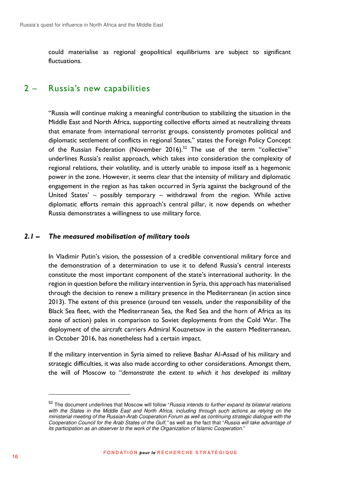could materialise as regional geopolitical equilibriums are subject to significant fluctuations.

# 2 – Russia's new capabilities

"Russia will continue making a meaningful contribution to stabilizing the situation in the Middle East and North Africa, supporting collective efforts aimed at neutralizing threats that emanate from international terrorist groups, consistently promotes political and diplomatic settlement of conflicts in regional States," states the Foreign Policy Concept of the Russian Federation (November 2016).<sup>52</sup> The use of the term "collective" underlines Russia's realist approach, which takes into consideration the complexity of regional relations, their volatility, and is utterly unable to impose itself as a hegemonic power in the zone. However, it seems clear that the intensity of military and diplomatic engagement in the region as has taken occurred in Syria against the background of the United States' – possibly temporary – withdrawal from the region. While active diplomatic efforts remain this approach's central pillar, it now depends on whether Russia demonstrates a willingness to use military force.

### *2.1 – The measured mobilisation of military tools*

In Vladimir Putin's vision, the possession of a credible conventional military force and the demonstration of a determination to use it to defend Russia's central interests constitute the most important component of the state's international authority. In the region in question before the military intervention in Syria, this approach has materialised through the decision to renew a military presence in the Mediterranean (in action since 2013). The extent of this presence (around ten vessels, under the responsibility of the Black Sea fleet, with the Mediterranean Sea, the Red Sea and the horn of Africa as its zone of action) pales in comparison to Soviet deployments from the Cold War. The deployment of the aircraft carriers Admiral Kouznetsov in the eastern Mediterranean, in October 2016, has nonetheless had a certain impact.

If the military intervention in Syria aimed to relieve Bashar Al-Assad of his military and strategic difficulties, it was also made according to other considerations. Amongst them, the will of Moscow to "*demonstrate the extent to which it has developed its military* 

<sup>52</sup> The document underlines that Moscow will follow "Russia intends to further expand its bilateral relations with the States in the Middle East and North Africa, including through such actions as relying on the ministerial meeting of the Russian-Arab Cooperation Forum as well as continuing strategic dialogue with the Cooperation Council for the Arab States of the Gulf," as well as the fact that "Russia will take advantage of its participation as an observer to the work of the Organization of Islamic Cooperation."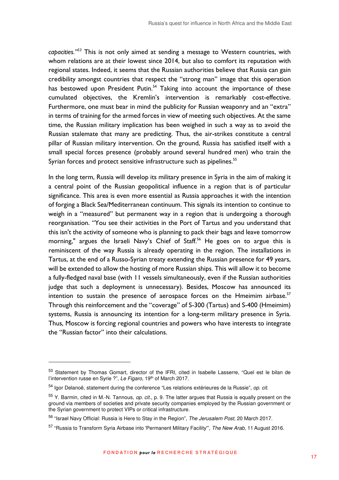*capacities."<sup>53</sup>* This is not only aimed at sending a message to Western countries, with whom relations are at their lowest since 2014, but also to comfort its reputation with regional states. Indeed, it seems that the Russian authorities believe that Russia can gain credibility amongst countries that respect the "strong man" image that this operation has bestowed upon President Putin.<sup>54</sup> Taking into account the importance of these cumulated objectives, the Kremlin's intervention is remarkably cost-effective. Furthermore, one must bear in mind the publicity for Russian weaponry and an "extra" in terms of training for the armed forces in view of meeting such objectives. At the same time, the Russian military implication has been weighed in such a way as to avoid the Russian stalemate that many are predicting. Thus, the air-strikes constitute a central pillar of Russian military intervention. On the ground, Russia has satisfied itself with a small special forces presence (probably around several hundred men) who train the Syrian forces and protect sensitive infrastructure such as pipelines.<sup>55</sup>

In the long term, Russia will develop its military presence in Syria in the aim of making it a central point of the Russian geopolitical influence in a region that is of particular significance. This area is even more essential as Russia approaches it with the intention of forging a Black Sea/Mediterranean continuum. This signals its intention to continue to weigh in a "measured" but permanent way in a region that is undergoing a thorough reorganisation. "You see their activities in the Port of Tartus and you understand that this isn't the activity of someone who is planning to pack their bags and leave tomorrow morning," argues the Israeli Navy's Chief of Staff.<sup>56</sup> He goes on to argue this is reminiscent of the way Russia is already operating in the region. The installations in Tartus, at the end of a Russo-Syrian treaty extending the Russian presence for 49 years, will be extended to allow the hosting of more Russian ships. This will allow it to become a fully-fledged naval base (with 11 vessels simultaneously, even if the Russian authorities judge that such a deployment is unnecessary). Besides, Moscow has announced its intention to sustain the presence of aerospace forces on the Hmeimim airbase.<sup>57</sup> Through this reinforcement and the "coverage" of S-300 (Tartus) and S-400 (Hmeimim) systems, Russia is announcing its intention for a long-term military presence in Syria. Thus, Moscow is forcing regional countries and powers who have interests to integrate the "Russian factor" into their calculations.

<sup>53</sup> Statement by Thomas Gomart, director of the IFRI, cited in Isabelle Lasserre, "Quel est le bilan de l'intervention russe en Syrie ?", Le Figaro, 19<sup>th</sup> of March 2017.

<sup>54</sup> Igor Delanoë, statement during the conference "Les relations extérieures de la Russie", op. cit.

<sup>55</sup> Y. Barmin, cited in M.-N. Tannous, op. cit., p. 9. The latter argues that Russia is equally present on the ground via members of societies and private security companies employed by the Russian government or the Syrian government to protect VIPs or critical infrastructure.

<sup>&</sup>lt;sup>56</sup> "Israel Navy Official: Russia is Here to Stay in the Region", The Jerusalem Post, 20 March 2017.

<sup>&</sup>lt;sup>57</sup> "Russia to Transform Syria Airbase into 'Permanent Military Facility'", The New Arab, 11 August 2016.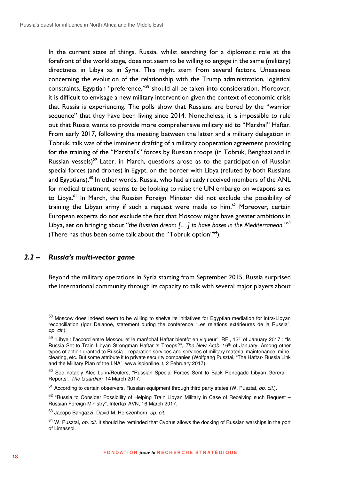In the current state of things, Russia, whilst searching for a diplomatic role at the forefront of the world stage, does not seem to be willing to engage in the same (military) directness in Libya as in Syria. This might stem from several factors. Uneasiness concerning the evolution of the relationship with the Trump administration, logistical constraints, Egyptian "preference,"<sup>58</sup> should all be taken into consideration. Moreover, it is difficult to envisage a new military intervention given the context of economic crisis that Russia is experiencing. The polls show that Russians are bored by the "warrior sequence" that they have been living since 2014. Nonetheless, it is impossible to rule out that Russia wants to provide more comprehensive military aid to "Marshal" Haftar. From early 2017, following the meeting between the latter and a military delegation in Tobruk, talk was of the imminent drafting of a military cooperation agreement providing for the training of the "Marshal's" forces by Russian troops (in Tobruk, Benghazi and in Russian vessels)<sup>59</sup> Later, in March, questions arose as to the participation of Russian special forces (and drones) in Egypt, on the border with Libya (refuted by both Russians and Egyptians).<sup>60</sup> In other words, Russia, who had already received members of the ANL for medical treatment, seems to be looking to raise the UN embargo on weapons sales to Libya.<sup>61</sup> In March, the Russian Foreign Minister did not exclude the possibility of training the Libyan army if such a request were made to him. $62$  Moreover, certain European experts do not exclude the fact that Moscow might have greater ambitions in Libya, set on bringing about "*the Russian dream […] to have bases in the Mediterranean."<sup>63</sup>* (There has thus been some talk about the "Tobruk option"<sup>64</sup>).

#### *2.2 – Russia's multi-vector game*

 $\overline{a}$ 

Beyond the military operations in Syria starting from September 2015, Russia surprised the international community through its capacity to talk with several major players about

<sup>58</sup> Moscow does indeed seem to be willing to shelve its initiatives for Egyptian mediation for intra-Libyan reconciliation (Igor Delanoë, statement during the conference "Les relations extérieures de la Russia", op. cit.).

<sup>59 &</sup>quot;Libve : l'accord entre Moscou et le maréchal Haftar bientôt en vigueur", RFI, 13<sup>th</sup> of January 2017 ; "Is Russia Set to Train Libyan Strongman Haftar 's Troops?", The New Arab, 16<sup>th</sup> of January. Among other types of action granted to Russia – reparation services and services of military material maintenance, mineclearing, etc. But some attribute it to private security companies (Wolfgang Pusztai, "The Haftar- Russia Link and the Military Plan of the LNA", www.ispionline.it, 2 February 2017).

 $60$  See notably Alec Luhn/Reuters, "Russian Special Forces Sent to Back Renegade Libyan Gereral – Reports", The Guardian, 14 March 2017.

 $61$  According to certain observers, Russian equipment through third party states (W. Pusztai, *op. cit.*).

<sup>62 &</sup>quot;Russia to Consider Possibility of Helping Train Libyan Military in Case of Receiving such Request -Russian Foreign Ministry", Interfax-AVN, 16 March 2017.

<sup>63</sup> Jacopo Barigazzi, David M. Herszenhorn, op. cit.

 $64$  W. Pusztai, *op. cit.* It should be reminded that Cyprus allows the docking of Russian warships in the port of Limassol.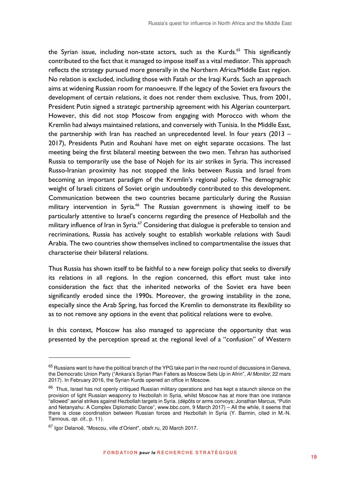the Syrian issue, including non-state actors, such as the Kurds.<sup>65</sup> This significantly contributed to the fact that it managed to impose itself as a vital mediator. This approach reflects the strategy pursued more generally in the Northern Africa/Middle East region. No relation is excluded, including those with Fatah or the Iraqi Kurds. Such an approach aims at widening Russian room for manoeuvre. If the legacy of the Soviet era favours the development of certain relations, it does not render them exclusive. Thus, from 2001, President Putin signed a strategic partnership agreement with his Algerian counterpart. However, this did not stop Moscow from engaging with Morocco with whom the Kremlin had always maintained relations, and conversely with Tunisia. In the Middle East, the partnership with Iran has reached an unprecedented level. In four years (2013 – 2017), Presidents Putin and Rouhani have met on eight separate occasions. The last meeting being the first bilateral meeting between the two men. Tehran has authorised Russia to temporarily use the base of Nojeh for its air strikes in Syria. This increased Russo-Iranian proximity has not stopped the links between Russia and Israel from becoming an important paradigm of the Kremlin's regional policy. The demographic weight of Israeli citizens of Soviet origin undoubtedly contributed to this development. Communication between the two countries became particularly during the Russian military intervention in Syria.<sup>66</sup> The Russian government is showing itself to be particularly attentive to Israel's concerns regarding the presence of Hezbollah and the military influence of Iran in Syria.<sup>67</sup> Considering that dialogue is preferable to tension and recriminations, Russia has actively sought to establish workable relations with Saudi Arabia. The two countries show themselves inclined to compartmentalise the issues that characterise their bilateral relations.

Thus Russia has shown itself to be faithful to a new foreign policy that seeks to diversify its relations in all regions. In the region concerned, this effort must take into consideration the fact that the inherited networks of the Soviet era have been significantly eroded since the 1990s. Moreover, the growing instability in the zone, especially since the Arab Spring, has forced the Kremlin to demonstrate its flexibility so as to not remove any options in the event that political relations were to evolve.

In this context, Moscow has also managed to appreciate the opportunity that was presented by the perception spread at the regional level of a "confusion" of Western

 $65$  Russians want to have the political branch of the YPG take part in the next round of discussions in Geneva, the Democratic Union Party ("Ankara's Syrian Plan Falters as Moscow Sets Up in Afrin", Al Monitor, 22 mars 2017). In February 2016, the Syrian Kurds opened an office in Moscow.

<sup>&</sup>lt;sup>66</sup> Thus, Israel has not openly critiqued Russian military operations and has kept a staunch silence on the provision of light Russian weaponry to Hezbollah in Syria, whilst Moscow has at more than one instance "allowed" aerial strikes against Hezbollah targets in Syria. (dépôts or arms convoys; Jonathan Marcus, "Putin and Netanyahu: A Complex Diplomatic Dance", www.bbc.com, 9 March 2017) – All the while, it seems that there is close coordination between Russian forces and Hezbollah in Syria (Y. Barmin, cited in M.-N. Tannous, op. cit., p. 11).

<sup>67</sup> Igor Delanoë, "Moscou, ville d'Orient", obsfr.ru, 20 March 2017.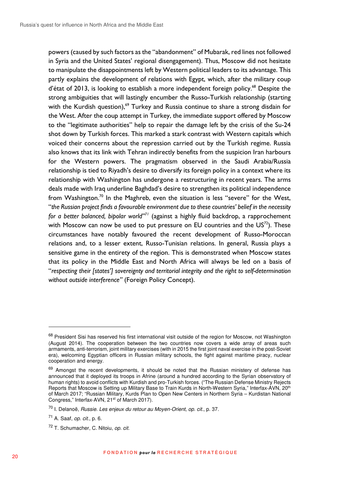powers (caused by such factors as the "abandonment" of Mubarak, red lines not followed in Syria and the United States' regional disengagement). Thus, Moscow did not hesitate to manipulate the disappointments left by Western political leaders to its advantage. This partly explains the development of relations with Egypt, which, after the military coup d'état of 2013, is looking to establish a more independent foreign policy.<sup>68</sup> Despite the strong ambiguities that will lastingly encumber the Russo-Turkish relationship (starting with the Kurdish question),<sup>69</sup> Turkey and Russia continue to share a strong disdain for the West. After the coup attempt in Turkey, the immediate support offered by Moscow to the "legitimate authorities" help to repair the damage left by the crisis of the Su-24 shot down by Turkish forces. This marked a stark contrast with Western capitals which voiced their concerns about the repression carried out by the Turkish regime. Russia also knows that its link with Tehran indirectly benefits from the suspicion Iran harbours for the Western powers. The pragmatism observed in the Saudi Arabia/Russia relationship is tied to Riyadh's desire to diversify its foreign policy in a context where its relationship with Washington has undergone a restructuring in recent years. The arms deals made with Iraq underline Baghdad's desire to strengthen its political independence from Washington.<sup>70</sup> In the Maghreb, even the situation is less "severe" for the West, "*the Russian project finds a favourable environment due to these countries' belief in the necessity for a better balanced, bipolar world"<sup>71</sup>* (against a highly fluid backdrop, a rapprochement with Moscow can now be used to put pressure on EU countries and the  $US^{72}$ ). These circumstances have notably favoured the recent development of Russo-Moroccan relations and, to a lesser extent, Russo-Tunisian relations. In general, Russia plays a sensitive game in the entirety of the region. This is demonstrated when Moscow states that its policy in the Middle East and North Africa will always be led on a basis of "*respecting their [states'] sovereignty and territorial integrity and the right to self-determination without outside interference"* (Foreign Policy Concept).

<sup>68</sup> President Sisi has reserved his first international visit outside of the region for Moscow, not Washington (August 2014). The cooperation between the two countries now covers a wide array of areas such armaments, anti-terrorism, joint military exercises (with in 2015 the first joint naval exercise in the post-Soviet era), welcoming Egyptian officers in Russian military schools, the fight against maritime piracy, nuclear cooperation and energy.

<sup>69</sup> Amongst the recent developments, it should be noted that the Russian ministery of defense has announced that it deployed its troops in Afrine (around a hundred according to the Syrian observatory of human rights) to avoid conflicts with Kurdish and pro-Turkish forces. ("The Russian Defense Ministry Rejects Reports that Moscow is Setting up Military Base to Train Kurds in North-Western Syria," Interfax-AVN, 20<sup>th</sup> of March 2017; "Russian Military, Kurds Plan to Open New Centers in Northern Syria – Kurdistan National Congress," Interfax-AVN, 21<sup>st</sup> of March 2017).

<sup>70</sup> I. Delanoë, Russie. Les enjeux du retour au Moyen-Orient, op. cit., p. 37.

 $71$  A. Saaf, *op. cit.*, p. 6.

<sup>72</sup> T. Schumacher, C. Nitoiu, op. cit.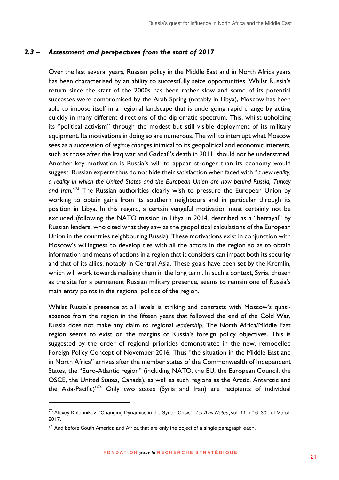#### *2.3 – Assessment and perspectives from the start of 2017*

Over the last several years, Russian policy in the Middle East and in North Africa years has been characterised by an ability to successfully seize opportunities. Whilst Russia's return since the start of the 2000s has been rather slow and some of its potential successes were compromised by the Arab Spring (notably in Libya), Moscow has been able to impose itself in a regional landscape that is undergoing rapid change by acting quickly in many different directions of the diplomatic spectrum. This, whilst upholding its "political activism" through the modest but still visible deployment of its military equipment. Its motivations in doing so are numerous. The will to interrupt what Moscow sees as a succession of *regime changes* inimical to its geopolitical and economic interests*,*  such as those after the Iraq war and Gaddafi's death in 2011, should not be understated. Another key motivation is Russia's will to appear stronger than its economy would suggest. Russian experts thus do not hide their satisfaction when faced with "*a new reality, a reality in which the United States and the European Union are now behind Russia, Turkey and Iran."<sup>73</sup>* The Russian authorities clearly wish to pressure the European Union by working to obtain gains from its southern neighbours and in particular through its position in Libya. In this regard, a certain vengeful motivation must certainly not be excluded (following the NATO mission in Libya in 2014, described as a "betrayal" by Russian leaders, who cited what they saw as the geopolitical calculations of the European Union in the countries neighbouring Russia). These motivations exist in conjunction with Moscow's willingness to develop ties with all the actors in the region so as to obtain information and means of actions in a region that it considers can impact both its security and that of its allies, notably in Central Asia. These goals have been set by the Kremlin, which will work towards realising them in the long term. In such a context, Syria, chosen as the site for a permanent Russian military presence, seems to remain one of Russia's main entry points in the regional politics of the region.

Whilst Russia's presence at all levels is striking and contrasts with Moscow's quasiabsence from the region in the fifteen years that followed the end of the Cold War, Russia does not make any claim to regional *leadership.* The North Africa/Middle East region seems to exist on the margins of Russia's foreign policy objectives. This is suggested by the order of regional priorities demonstrated in the new, remodelled Foreign Policy Concept of November 2016. Thus "the situation in the Middle East and in North Africa" arrives after the member states of the Commonwealth of Independent States, the "Euro-Atlantic region" (including NATO, the EU, the European Council, the OSCE, the United States, Canada), as well as such regions as the Arctic, Antarctic and the Asia-Pacific)"<sup>74</sup> Only two states (Syria and Iran) are recipients of individual

<sup>&</sup>lt;sup>73</sup> Alexey Khlebnikov, "Changing Dynamics in the Syrian Crisis", Tel Aviv Notes, vol. 11, n° 6, 30<sup>th</sup> of March 2017.

 $74$  And before South America and Africa that are only the object of a single paragraph each.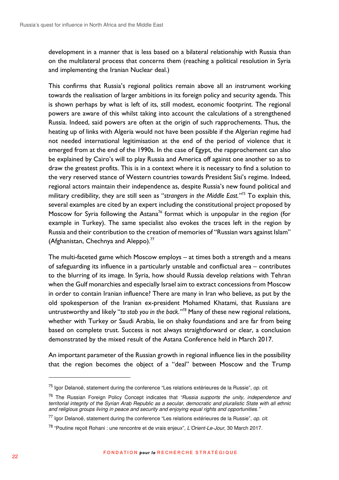development in a manner that is less based on a bilateral relationship with Russia than on the multilateral process that concerns them (reaching a political resolution in Syria and implementing the Iranian Nuclear deal.)

This confirms that Russia's regional politics remain above all an instrument working towards the realisation of larger ambitions in its foreign policy and security agenda. This is shown perhaps by what is left of its, still modest, economic footprint. The regional powers are aware of this whilst taking into account the calculations of a strengthened Russia. Indeed, said powers are often at the origin of such rapprochements. Thus, the heating up of links with Algeria would not have been possible if the Algerian regime had not needed international legitimisation at the end of the period of violence that it emerged from at the end of the 1990s. In the case of Egypt, the rapprochement can also be explained by Cairo's will to play Russia and America off against one another so as to draw the greatest profits. This is in a context where it is necessary to find a solution to the very reserved stance of Western countries towards President Sisi's regime. Indeed, regional actors maintain their independence as, despite Russia's new found political and military credibility, they are still seen as "*strangers in the Middle East."<sup>75</sup>* To explain this, several examples are cited by an expert including the constitutional project proposed by Moscow for Syria following the Astana<sup>76</sup> format which is unpopular in the region (for example in Turkey). The same specialist also evokes the traces left in the region by Russia and their contribution to the creation of memories of "Russian wars against Islam" (Afghanistan, Chechnya and Aleppo). $77$ 

The multi-faceted game which Moscow employs – at times both a strength and a means of safeguarding its influence in a particularly unstable and conflictual area – contributes to the blurring of its image. In Syria, how should Russia develop relations with Tehran when the Gulf monarchies and especially Israel aim to extract concessions from Moscow in order to contain Iranian influence? There are many in Iran who believe, as put by the old spokesperson of the Iranian ex-president Mohamed Khatami, that Russians are untrustworthy and likely "*to stab you in the back."<sup>78</sup>* Many of these new regional relations, whether with Turkey or Saudi Arabia, lie on shaky foundations and are far from being based on complete trust. Success is not always straightforward or clear, a conclusion demonstrated by the mixed result of the Astana Conference held in March 2017.

An important parameter of the Russian growth in regional influence lies in the possibility that the region becomes the object of a "deal" between Moscow and the Trump

 $75$  laor Delanoë, statement during the conference "Les relations extérieures de la Russie", op. cit.

<sup>&</sup>lt;sup>76</sup> The Russian Foreign Policy Concept indicates that "Russia supports the unity, independence and territorial integrity of the Syrian Arab Republic as a secular, democratic and pluralistic State with all ethnic and religious groups living in peace and security and enjoying equal rights and opportunities."

 $77$  lgor Delanoë, statement during the conference "Les relations extérieures de la Russie", op. cit.

<sup>78</sup> "Poutine reçoit Rohani : une rencontre et de vrais enjeux", L'Orient-Le-Jour, 30 March 2017.